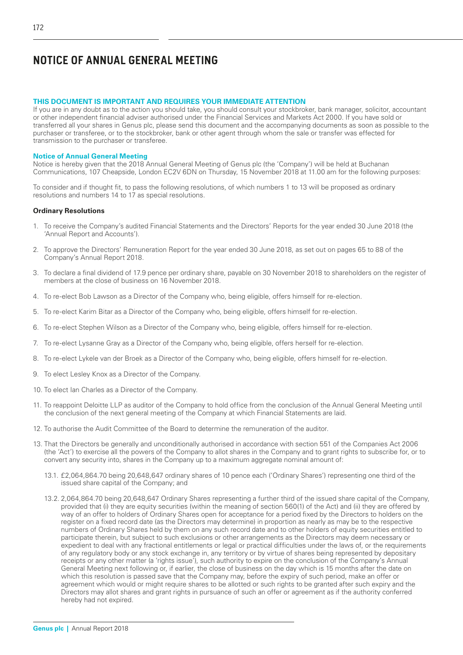## **THIS DOCUMENT IS IMPORTANT AND REQUIRES YOUR IMMEDIATE ATTENTION**

If you are in any doubt as to the action you should take, you should consult your stockbroker, bank manager, solicitor, accountant or other independent financial adviser authorised under the Financial Services and Markets Act 2000. If you have sold or transferred all your shares in Genus plc, please send this document and the accompanying documents as soon as possible to the purchaser or transferee, or to the stockbroker, bank or other agent through whom the sale or transfer was effected for transmission to the purchaser or transferee.

#### **Notice of Annual General Meeting**

Notice is hereby given that the 2018 Annual General Meeting of Genus plc (the 'Company') will be held at Buchanan Communications, 107 Cheapside, London EC2V 6DN on Thursday, 15 November 2018 at 11.00 am for the following purposes:

To consider and if thought fit, to pass the following resolutions, of which numbers 1 to 13 will be proposed as ordinary resolutions and numbers 14 to 17 as special resolutions.

#### **Ordinary Resolutions**

- 1. To receive the Company's audited Financial Statements and the Directors' Reports for the year ended 30 June 2018 (the 'Annual Report and Accounts').
- 2. To approve the Directors' Remuneration Report for the year ended 30 June 2018, as set out on pages 65 to 88 of the Company's Annual Report 2018.
- 3. To declare a final dividend of 17.9 pence per ordinary share, payable on 30 November 2018 to shareholders on the register of members at the close of business on 16 November 2018.
- 4. To re-elect Bob Lawson as a Director of the Company who, being eligible, offers himself for re-election.
- 5. To re-elect Karim Bitar as a Director of the Company who, being eligible, offers himself for re-election.
- 6. To re-elect Stephen Wilson as a Director of the Company who, being eligible, offers himself for re-election.
- 7. To re-elect Lysanne Gray as a Director of the Company who, being eligible, offers herself for re-election.
- 8. To re-elect Lykele van der Broek as a Director of the Company who, being eligible, offers himself for re-election.
- 9. To elect Lesley Knox as a Director of the Company.
- 10. To elect Ian Charles as a Director of the Company.
- 11. To reappoint Deloitte LLP as auditor of the Company to hold office from the conclusion of the Annual General Meeting until the conclusion of the next general meeting of the Company at which Financial Statements are laid.
- 12. To authorise the Audit Committee of the Board to determine the remuneration of the auditor.
- 13. That the Directors be generally and unconditionally authorised in accordance with section 551 of the Companies Act 2006 (the 'Act') to exercise all the powers of the Company to allot shares in the Company and to grant rights to subscribe for, or to convert any security into, shares in the Company up to a maximum aggregate nominal amount of:
	- 13.1. £2,064,864.70 being 20,648,647 ordinary shares of 10 pence each ('Ordinary Shares') representing one third of the issued share capital of the Company; and
	- 13.2. 2,064,864.70 being 20,648,647 Ordinary Shares representing a further third of the issued share capital of the Company, provided that (i) they are equity securities (within the meaning of section 560(1) of the Act) and (ii) they are offered by way of an offer to holders of Ordinary Shares open for acceptance for a period fixed by the Directors to holders on the register on a fixed record date (as the Directors may determine) in proportion as nearly as may be to the respective numbers of Ordinary Shares held by them on any such record date and to other holders of equity securities entitled to participate therein, but subject to such exclusions or other arrangements as the Directors may deem necessary or expedient to deal with any fractional entitlements or legal or practical difficulties under the laws of, or the requirements of any regulatory body or any stock exchange in, any territory or by virtue of shares being represented by depositary receipts or any other matter (a 'rights issue'), such authority to expire on the conclusion of the Company's Annual General Meeting next following or, if earlier, the close of business on the day which is 15 months after the date on which this resolution is passed save that the Company may, before the expiry of such period, make an offer or agreement which would or might require shares to be allotted or such rights to be granted after such expiry and the Directors may allot shares and grant rights in pursuance of such an offer or agreement as if the authority conferred hereby had not expired.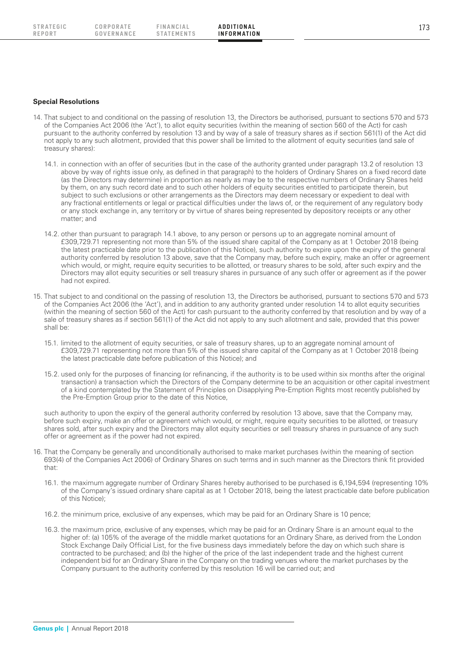**REPORT**

STRATEGIC CORPORATE FINANCIAL **ADDITIONAL** 173 **F IN A NC I A L STATEMENTS**

## **Special Resolutions**

- 14. That subject to and conditional on the passing of resolution 13, the Directors be authorised, pursuant to sections 570 and 573 of the Companies Act 2006 (the 'Act'), to allot equity securities (within the meaning of section 560 of the Act) for cash pursuant to the authority conferred by resolution 13 and by way of a sale of treasury shares as if section 561(1) of the Act did not apply to any such allotment, provided that this power shall be limited to the allotment of equity securities (and sale of treasury shares):
	- 14.1. in connection with an offer of securities (but in the case of the authority granted under paragraph 13.2 of resolution 13 above by way of rights issue only, as defined in that paragraph) to the holders of Ordinary Shares on a fixed record date (as the Directors may determine) in proportion as nearly as may be to the respective numbers of Ordinary Shares held by them, on any such record date and to such other holders of equity securities entitled to participate therein, but subject to such exclusions or other arrangements as the Directors may deem necessary or expedient to deal with any fractional entitlements or legal or practical difficulties under the laws of, or the requirement of any regulatory body or any stock exchange in, any territory or by virtue of shares being represented by depository receipts or any other matter; and
	- 14.2. other than pursuant to paragraph 14.1 above, to any person or persons up to an aggregate nominal amount of £309,729.71 representing not more than 5% of the issued share capital of the Company as at 1 October 2018 (being the latest practicable date prior to the publication of this Notice), such authority to expire upon the expiry of the general authority conferred by resolution 13 above, save that the Company may, before such expiry, make an offer or agreement which would, or might, require equity securities to be allotted, or treasury shares to be sold, after such expiry and the Directors may allot equity securities or sell treasury shares in pursuance of any such offer or agreement as if the power had not expired.
- 15. That subject to and conditional on the passing of resolution 13, the Directors be authorised, pursuant to sections 570 and 573 of the Companies Act 2006 (the 'Act'), and in addition to any authority granted under resolution 14 to allot equity securities (within the meaning of section 560 of the Act) for cash pursuant to the authority conferred by that resolution and by way of a sale of treasury shares as if section 561(1) of the Act did not apply to any such allotment and sale, provided that this power shall be:
	- 15.1. limited to the allotment of equity securities, or sale of treasury shares, up to an aggregate nominal amount of £309,729.71 representing not more than 5% of the issued share capital of the Company as at 1 October 2018 (being the latest practicable date before publication of this Notice); and
	- 15.2. used only for the purposes of financing (or refinancing, if the authority is to be used within six months after the original transaction) a transaction which the Directors of the Company determine to be an acquisition or other capital investment of a kind contemplated by the Statement of Principles on Disapplying Pre-Emption Rights most recently published by the Pre-Emption Group prior to the date of this Notice,

such authority to upon the expiry of the general authority conferred by resolution 13 above, save that the Company may, before such expiry, make an offer or agreement which would, or might, require equity securities to be allotted, or treasury shares sold, after such expiry and the Directors may allot equity securities or sell treasury shares in pursuance of any such offer or agreement as if the power had not expired.

- 16. That the Company be generally and unconditionally authorised to make market purchases (within the meaning of section 693(4) of the Companies Act 2006) of Ordinary Shares on such terms and in such manner as the Directors think fit provided that:
	- 16.1. the maximum aggregate number of Ordinary Shares hereby authorised to be purchased is 6.194,594 (representing 10% of the Company's issued ordinary share capital as at 1 October 2018, being the latest practicable date before publication of this Notice);
	- 16.2. the minimum price, exclusive of any expenses, which may be paid for an Ordinary Share is 10 pence;
	- 16.3. the maximum price, exclusive of any expenses, which may be paid for an Ordinary Share is an amount equal to the higher of: (a) 105% of the average of the middle market quotations for an Ordinary Share, as derived from the London Stock Exchange Daily Official List, for the five business days immediately before the day on which such share is contracted to be purchased; and (b) the higher of the price of the last independent trade and the highest current independent bid for an Ordinary Share in the Company on the trading venues where the market purchases by the Company pursuant to the authority conferred by this resolution 16 will be carried out; and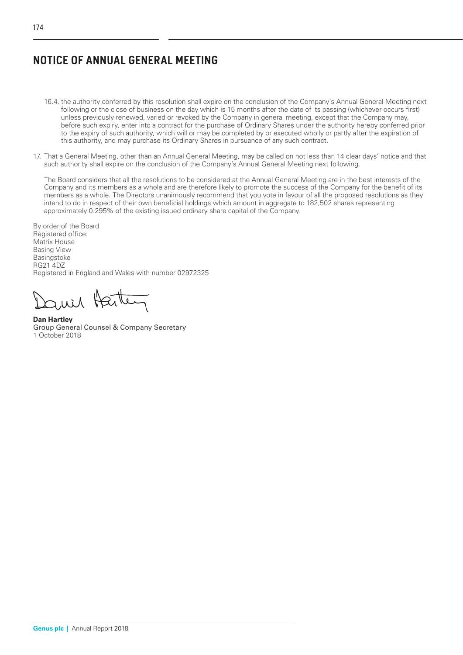- 16.4. the authority conferred by this resolution shall expire on the conclusion of the Company's Annual General Meeting next following or the close of business on the day which is 15 months after the date of its passing (whichever occurs first) unless previously renewed, varied or revoked by the Company in general meeting, except that the Company may, before such expiry, enter into a contract for the purchase of Ordinary Shares under the authority hereby conferred prior to the expiry of such authority, which will or may be completed by or executed wholly or partly after the expiration of this authority, and may purchase its Ordinary Shares in pursuance of any such contract.
- 17. That a General Meeting, other than an Annual General Meeting, may be called on not less than 14 clear days' notice and that such authority shall expire on the conclusion of the Company's Annual General Meeting next following.

The Board considers that all the resolutions to be considered at the Annual General Meeting are in the best interests of the Company and its members as a whole and are therefore likely to promote the success of the Company for the benefit of its members as a whole. The Directors unanimously recommend that you vote in favour of all the proposed resolutions as they intend to do in respect of their own beneficial holdings which amount in aggregate to 182,502 shares representing approximately 0.295% of the existing issued ordinary share capital of the Company.

By order of the Board Registered office: Matrix House Basing View Basingstoke RG21 4DZ Registered in England and Wales with number 02972325

Harte

**Dan Hartley** Group General Counsel & Company Secretary 1 October 2018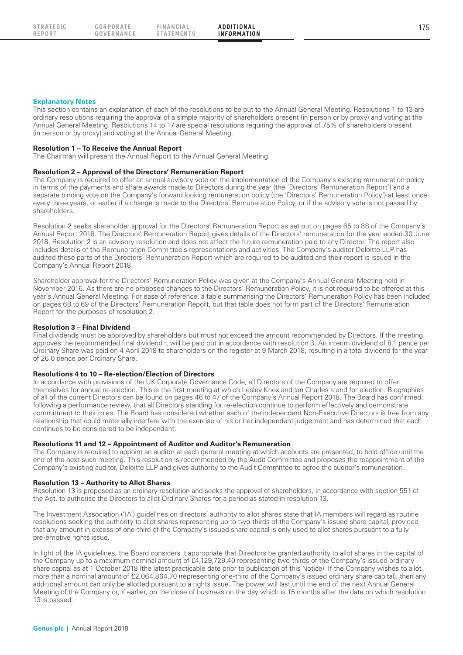This section contains an explanation of each of the resolutions to be put to the Annual General Meeting. Resolutions 1 to 13 are ordinary resolutions requiring the approval of a simple majority of shareholders present (in person or by proxy) and voting at the Annual General Meeting. Resolutions 14 to 17 are special resolutions requiring the approval of 75% of shareholders present (in person or by proxy) and voting at the Annual General Meeting.

#### **Resolution 1 – To Receive the Annual Report**

The Chairman will present the Annual Report to the Annual General Meeting.

## **Resolution 2 – Approval of the Directors' Remuneration Report**

The Company is required to offer an annual advisory vote on the implementation of the Company's existing remuneration policy in terms of the payments and share awards made to Directors during the year (the 'Directors' Remuneration Report') and a separate binding vote on the Company's forward looking remuneration policy (the 'Directors' Remuneration Policy') at least once every three years, or earlier if a change is made to the Directors' Remuneration Policy, or if the advisory vote is not passed by shareholders.

Resolution 2 seeks shareholder approval for the Directors' Remuneration Report as set out on pages 65 to 88 of the Company's Annual Report 2018. The Directors' Remuneration Report gives details of the Directors' remuneration for the year ended 30 June 2018. Resolution 2 is an advisory resolution and does not affect the future remuneration paid to any Director. The report also includes details of the Remuneration Committee's representations and activities. The Company's auditor Deloitte LLP has audited those parts of the Directors' Remuneration Report which are required to be audited and their report is issued in the Company's Annual Report 2018.

Shareholder approval for the Directors' Remuneration Policy was given at the Company's Annual General Meeting held in November 2016. As there are no proposed changes to the Directors' Remuneration Policy, it is not required to be offered at this year's Annual General Meeting. For ease of reference, a table summarising the Directors' Remuneration Policy has been included on pages 68 to 69 of the Directors' Remuneration Report, but that table does not form part of the Directors' Remuneration Report for the purposes of resolution 2.

#### **Resolution 3 – Final Dividend**

Final dividends must be approved by shareholders but must not exceed the amount recommended by Directors. If the meeting approves the recommended final dividend it will be paid out in accordance with resolution 3. An interim dividend of 8.1 pence per Ordinary Share was paid on 4 April 2018 to shareholders on the register at 9 March 2018, resulting in a total dividend for the year of 26.0 pence per Ordinary Share.

## **Resolutions 4 to 10 – Re-election/Election of Directors**

In accordance with provisions of the UK Corporate Governance Code, all Directors of the Company are required to offer themselves for annual re-election. This is the first meeting at which Lesley Knox and Ian Charles stand for election. Biographies of all of the current Directors can be found on pages 46 to 47 of the Company's Annual Report 2018. The Board has confirmed, following a performance review, that all Directors standing for re-election continue to perform effectively and demonstrate commitment to their roles. The Board has considered whether each of the independent Non-Executive Directors is free from any relationship that could materially interfere with the exercise of his or her independent judgement and has determined that each continues to be considered to be independent.

## **Resolutions 11 and 12 – Appointment of Auditor and Auditor's Remuneration**

The Company is required to appoint an auditor at each general meeting at which accounts are presented, to hold office until the end of the next such meeting. This resolution is recommended by the Audit Committee and proposes the reappointment of the Company's existing auditor, Deloitte LLP and gives authority to the Audit Committee to agree the auditor's remuneration.

## **Resolution 13 – Authority to Allot Shares**

Resolution 13 is proposed as an ordinary resolution and seeks the approval of shareholders, in accordance with section 551 of the Act, to authorise the Directors to allot Ordinary Shares for a period as stated in resolution 13.

The Investment Association ('IA') guidelines on directors' authority to allot shares state that IA members will regard as routine resolutions seeking the authority to allot shares representing up to two-thirds of the Company's issued share capital, provided that any amount in excess of one-third of the Company's issued share capital is only used to allot shares pursuant to a fully pre-emptive rights issue.

In light of the IA guidelines, the Board considers it appropriate that Directors be granted authority to allot shares in the capital of the Company up to a maximum nominal amount of £4,129,729.40 representing two-thirds of the Company's issued ordinary share capital as at 1 October 2018 (the latest practicable date prior to publication of this Notice). If the Company wishes to allot more than a nominal amount of £2,064,864.70 (representing one-third of the Company's issued ordinary share capital), then any additional amount can only be allotted pursuant to a rights issue. The power will last until the end of the next Annual General Meeting of the Company or, if earlier, on the close of business on the day which is 15 months after the date on which resolution 13 is passed.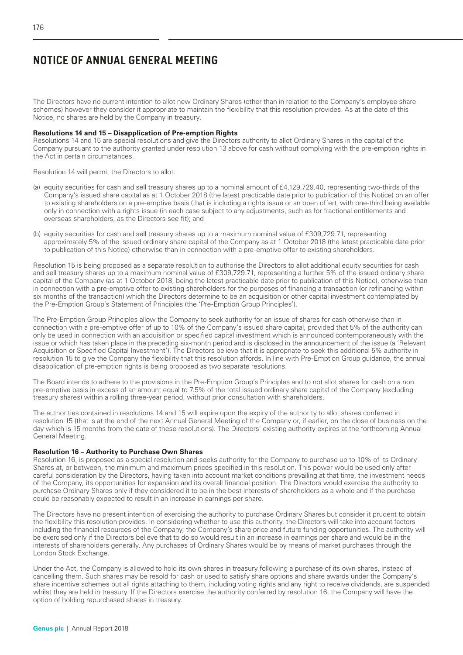The Directors have no current intention to allot new Ordinary Shares (other than in relation to the Company's employee share schemes) however they consider it appropriate to maintain the flexibility that this resolution provides. As at the date of this Notice, no shares are held by the Company in treasury.

## **Resolutions 14 and 15 – Disapplication of Pre-emption Rights**

Resolutions 14 and 15 are special resolutions and give the Directors authority to allot Ordinary Shares in the capital of the Company pursuant to the authority granted under resolution 13 above for cash without complying with the pre-emption rights in the Act in certain circumstances.

Resolution 14 will permit the Directors to allot:

- (a) equity securities for cash and sell treasury shares up to a nominal amount of £4,129,729.40, representing two-thirds of the Company's issued share capital as at 1 October 2018 (the latest practicable date prior to publication of this Notice) on an offer to existing shareholders on a pre-emptive basis (that is including a rights issue or an open offer), with one-third being available only in connection with a rights issue (in each case subject to any adjustments, such as for fractional entitlements and overseas shareholders, as the Directors see fit); and
- (b) equity securities for cash and sell treasury shares up to a maximum nominal value of £309,729.71, representing approximately 5% of the issued ordinary share capital of the Company as at 1 October 2018 (the latest practicable date prior to publication of this Notice) otherwise than in connection with a pre-emptive offer to existing shareholders.

Resolution 15 is being proposed as a separate resolution to authorise the Directors to allot additional equity securities for cash and sell treasury shares up to a maximum nominal value of £309,729.71, representing a further 5% of the issued ordinary share capital of the Company (as at 1 October 2018, being the latest practicable date prior to publication of this Notice), otherwise than in connection with a pre-emptive offer to existing shareholders for the purposes of financing a transaction (or refinancing within six months of the transaction) which the Directors determine to be an acquisition or other capital investment contemplated by the Pre-Emption Group's Statement of Principles (the 'Pre-Emption Group Principles').

The Pre-Emption Group Principles allow the Company to seek authority for an issue of shares for cash otherwise than in connection with a pre-emptive offer of up to 10% of the Company's issued share capital, provided that 5% of the authority can only be used in connection with an acquisition or specified capital investment which is announced contemporaneously with the issue or which has taken place in the preceding six-month period and is disclosed in the announcement of the issue (a 'Relevant Acquisition or Specified Capital Investment'). The Directors believe that it is appropriate to seek this additional 5% authority in resolution 15 to give the Company the flexibility that this resolution affords. In line with Pre-Emption Group guidance, the annual disapplication of pre-emption rights is being proposed as two separate resolutions.

The Board intends to adhere to the provisions in the Pre-Emption Group's Principles and to not allot shares for cash on a non pre-emptive basis in excess of an amount equal to 7.5% of the total issued ordinary share capital of the Company (excluding treasury shares) within a rolling three-year period, without prior consultation with shareholders.

The authorities contained in resolutions 14 and 15 will expire upon the expiry of the authority to allot shares conferred in resolution 15 (that is at the end of the next Annual General Meeting of the Company or, if earlier, on the close of business on the day which is 15 months from the date of these resolutions). The Directors' existing authority expires at the forthcoming Annual General Meeting.

## **Resolution 16 – Authority to Purchase Own Shares**

Resolution 16, is proposed as a special resolution and seeks authority for the Company to purchase up to 10% of its Ordinary Shares at, or between, the minimum and maximum prices specified in this resolution. This power would be used only after careful consideration by the Directors, having taken into account market conditions prevailing at that time, the investment needs of the Company, its opportunities for expansion and its overall financial position. The Directors would exercise the authority to purchase Ordinary Shares only if they considered it to be in the best interests of shareholders as a whole and if the purchase could be reasonably expected to result in an increase in earnings per share.

The Directors have no present intention of exercising the authority to purchase Ordinary Shares but consider it prudent to obtain the flexibility this resolution provides. In considering whether to use this authority, the Directors will take into account factors including the financial resources of the Company, the Company's share price and future funding opportunities. The authority will be exercised only if the Directors believe that to do so would result in an increase in earnings per share and would be in the interests of shareholders generally. Any purchases of Ordinary Shares would be by means of market purchases through the London Stock Exchange.

Under the Act, the Company is allowed to hold its own shares in treasury following a purchase of its own shares, instead of cancelling them. Such shares may be resold for cash or used to satisfy share options and share awards under the Company's share incentive schemes but all rights attaching to them, including voting rights and any right to receive dividends, are suspended whilst they are held in treasury. If the Directors exercise the authority conferred by resolution 16, the Company will have the option of holding repurchased shares in treasury.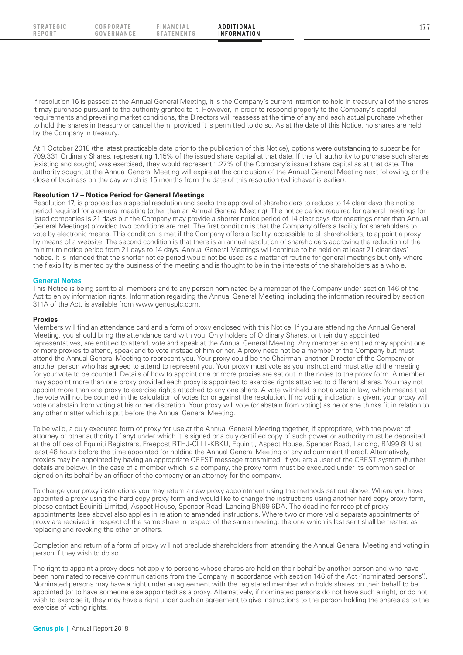If resolution 16 is passed at the Annual General Meeting, it is the Company's current intention to hold in treasury all of the shares it may purchase pursuant to the authority granted to it. However, in order to respond properly to the Company's capital requirements and prevailing market conditions, the Directors will reassess at the time of any and each actual purchase whether to hold the shares in treasury or cancel them, provided it is permitted to do so. As at the date of this Notice, no shares are held by the Company in treasury.

At 1 October 2018 (the latest practicable date prior to the publication of this Notice), options were outstanding to subscribe for 709,331 Ordinary Shares, representing 1.15% of the issued share capital at that date. If the full authority to purchase such shares (existing and sought) was exercised, they would represent 1.27% of the Company's issued share capital as at that date. The authority sought at the Annual General Meeting will expire at the conclusion of the Annual General Meeting next following, or the close of business on the day which is 15 months from the date of this resolution (whichever is earlier).

## **Resolution 17 – Notice Period for General Meetings**

Resolution 17, is proposed as a special resolution and seeks the approval of shareholders to reduce to 14 clear days the notice period required for a general meeting (other than an Annual General Meeting). The notice period required for general meetings for listed companies is 21 days but the Company may provide a shorter notice period of 14 clear days (for meetings other than Annual General Meetings) provided two conditions are met. The first condition is that the Company offers a facility for shareholders to vote by electronic means. This condition is met if the Company offers a facility, accessible to all shareholders, to appoint a proxy by means of a website. The second condition is that there is an annual resolution of shareholders approving the reduction of the minimum notice period from 21 days to 14 days. Annual General Meetings will continue to be held on at least 21 clear days' notice. It is intended that the shorter notice period would not be used as a matter of routine for general meetings but only where the flexibility is merited by the business of the meeting and is thought to be in the interests of the shareholders as a whole.

## **General Notes**

This Notice is being sent to all members and to any person nominated by a member of the Company under section 146 of the Act to enjoy information rights. Information regarding the Annual General Meeting, including the information required by section 311A of the Act, is available from www.genusplc.com.

#### **Proxies**

Members will find an attendance card and a form of proxy enclosed with this Notice. If you are attending the Annual General Meeting, you should bring the attendance card with you. Only holders of Ordinary Shares, or their duly appointed representatives, are entitled to attend, vote and speak at the Annual General Meeting. Any member so entitled may appoint one or more proxies to attend, speak and to vote instead of him or her. A proxy need not be a member of the Company but must attend the Annual General Meeting to represent you. Your proxy could be the Chairman, another Director of the Company or another person who has agreed to attend to represent you. Your proxy must vote as you instruct and must attend the meeting for your vote to be counted. Details of how to appoint one or more proxies are set out in the notes to the proxy form. A member may appoint more than one proxy provided each proxy is appointed to exercise rights attached to different shares. You may not appoint more than one proxy to exercise rights attached to any one share. A vote withheld is not a vote in law, which means that the vote will not be counted in the calculation of votes for or against the resolution. If no voting indication is given, your proxy will vote or abstain from voting at his or her discretion. Your proxy will vote (or abstain from voting) as he or she thinks fit in relation to any other matter which is put before the Annual General Meeting.

To be valid, a duly executed form of proxy for use at the Annual General Meeting together, if appropriate, with the power of attorney or other authority (if any) under which it is signed or a duly certified copy of such power or authority must be deposited at the offices of Equiniti Registrars, Freepost RTHJ-CLLL-KBKU, Equiniti, Aspect House, Spencer Road, Lancing, BN99 8LU at least 48 hours before the time appointed for holding the Annual General Meeting or any adjournment thereof. Alternatively, proxies may be appointed by having an appropriate CREST message transmitted, if you are a user of the CREST system (further details are below). In the case of a member which is a company, the proxy form must be executed under its common seal or signed on its behalf by an officer of the company or an attorney for the company.

To change your proxy instructions you may return a new proxy appointment using the methods set out above. Where you have appointed a proxy using the hard copy proxy form and would like to change the instructions using another hard copy proxy form, please contact Equiniti Limited, Aspect House, Spencer Road, Lancing BN99 6DA. The deadline for receipt of proxy appointments (see above) also applies in relation to amended instructions. Where two or more valid separate appointments of proxy are received in respect of the same share in respect of the same meeting, the one which is last sent shall be treated as replacing and revoking the other or others.

Completion and return of a form of proxy will not preclude shareholders from attending the Annual General Meeting and voting in person if they wish to do so.

The right to appoint a proxy does not apply to persons whose shares are held on their behalf by another person and who have been nominated to receive communications from the Company in accordance with section 146 of the Act ('nominated persons'). Nominated persons may have a right under an agreement with the registered member who holds shares on their behalf to be appointed (or to have someone else appointed) as a proxy. Alternatively, if nominated persons do not have such a right, or do not wish to exercise it, they may have a right under such an agreement to give instructions to the person holding the shares as to the exercise of voting rights.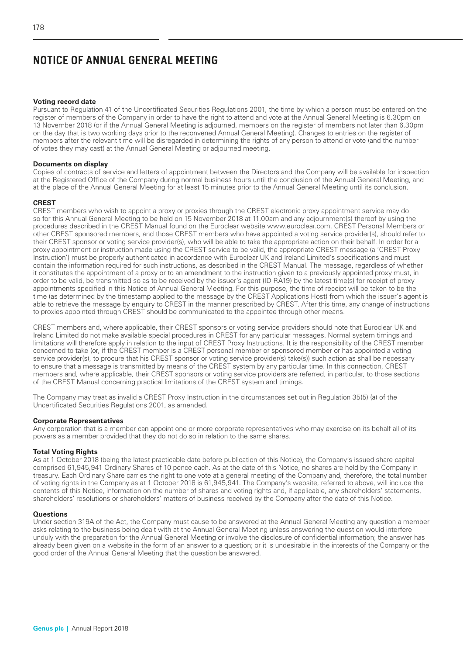## **Voting record date**

Pursuant to Regulation 41 of the Uncertificated Securities Regulations 2001, the time by which a person must be entered on the register of members of the Company in order to have the right to attend and vote at the Annual General Meeting is 6.30pm on 13 November 2018 (or if the Annual General Meeting is adjourned, members on the register of members not later than 6.30pm on the day that is two working days prior to the reconvened Annual General Meeting). Changes to entries on the register of members after the relevant time will be disregarded in determining the rights of any person to attend or vote (and the number of votes they may cast) at the Annual General Meeting or adjourned meeting.

## **Documents on display**

Copies of contracts of service and letters of appointment between the Directors and the Company will be available for inspection at the Registered Office of the Company during normal business hours until the conclusion of the Annual General Meeting, and at the place of the Annual General Meeting for at least 15 minutes prior to the Annual General Meeting until its conclusion.

## **CREST**

CREST members who wish to appoint a proxy or proxies through the CREST electronic proxy appointment service may do so for this Annual General Meeting to be held on 15 November 2018 at 11.00am and any adjournment(s) thereof by using the procedures described in the CREST Manual found on the Euroclear website www.euroclear.com. CREST Personal Members or other CREST sponsored members, and those CREST members who have appointed a voting service provider(s), should refer to their CREST sponsor or voting service provider(s), who will be able to take the appropriate action on their behalf. In order for a proxy appointment or instruction made using the CREST service to be valid, the appropriate CREST message (a 'CREST Proxy Instruction') must be properly authenticated in accordance with Euroclear UK and Ireland Limited's specifications and must contain the information required for such instructions, as described in the CREST Manual. The message, regardless of whether it constitutes the appointment of a proxy or to an amendment to the instruction given to a previously appointed proxy must, in order to be valid, be transmitted so as to be received by the issuer's agent (ID RA19) by the latest time(s) for receipt of proxy appointments specified in this Notice of Annual General Meeting. For this purpose, the time of receipt will be taken to be the time (as determined by the timestamp applied to the message by the CREST Applications Host) from which the issuer's agent is able to retrieve the message by enquiry to CREST in the manner prescribed by CREST. After this time, any change of instructions to proxies appointed through CREST should be communicated to the appointee through other means.

CREST members and, where applicable, their CREST sponsors or voting service providers should note that Euroclear UK and Ireland Limited do not make available special procedures in CREST for any particular messages. Normal system timings and limitations will therefore apply in relation to the input of CREST Proxy Instructions. It is the responsibility of the CREST member concerned to take (or, if the CREST member is a CREST personal member or sponsored member or has appointed a voting service provider(s), to procure that his CREST sponsor or voting service provider(s) take(s)) such action as shall be necessary to ensure that a message is transmitted by means of the CREST system by any particular time. In this connection, CREST members and, where applicable, their CREST sponsors or voting service providers are referred, in particular, to those sections of the CREST Manual concerning practical limitations of the CREST system and timings.

The Company may treat as invalid a CREST Proxy Instruction in the circumstances set out in Regulation 35(5) (a) of the Uncertificated Securities Regulations 2001, as amended.

## **Corporate Representatives**

Any corporation that is a member can appoint one or more corporate representatives who may exercise on its behalf all of its powers as a member provided that they do not do so in relation to the same shares.

## **Total Voting Rights**

As at 1 October 2018 (being the latest practicable date before publication of this Notice), the Company's issued share capital comprised 61,945,941 Ordinary Shares of 10 pence each. As at the date of this Notice, no shares are held by the Company in treasury. Each Ordinary Share carries the right to one vote at a general meeting of the Company and, therefore, the total number of voting rights in the Company as at 1 October 2018 is 61,945,941. The Company's website, referred to above, will include the contents of this Notice, information on the number of shares and voting rights and, if applicable, any shareholders' statements, shareholders' resolutions or shareholders' matters of business received by the Company after the date of this Notice.

## **Questions**

Under section 319A of the Act, the Company must cause to be answered at the Annual General Meeting any question a member asks relating to the business being dealt with at the Annual General Meeting unless answering the question would interfere unduly with the preparation for the Annual General Meeting or involve the disclosure of confidential information; the answer has already been given on a website in the form of an answer to a question; or it is undesirable in the interests of the Company or the good order of the Annual General Meeting that the question be answered.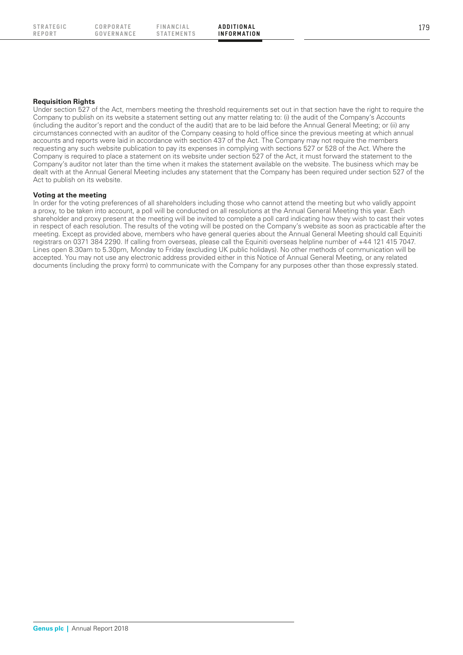**REPORT**

**C OR P OR AT E GOVERNANCE**

**F IN A NC I A L STATEMENTS**

## **Requisition Rights**

Under section 527 of the Act, members meeting the threshold requirements set out in that section have the right to require the Company to publish on its website a statement setting out any matter relating to: (i) the audit of the Company's Accounts (including the auditor's report and the conduct of the audit) that are to be laid before the Annual General Meeting; or (ii) any circumstances connected with an auditor of the Company ceasing to hold office since the previous meeting at which annual accounts and reports were laid in accordance with section 437 of the Act. The Company may not require the members requesting any such website publication to pay its expenses in complying with sections 527 or 528 of the Act. Where the Company is required to place a statement on its website under section 527 of the Act, it must forward the statement to the Company's auditor not later than the time when it makes the statement available on the website. The business which may be dealt with at the Annual General Meeting includes any statement that the Company has been required under section 527 of the Act to publish on its website.

## **Voting at the meeting**

In order for the voting preferences of all shareholders including those who cannot attend the meeting but who validly appoint a proxy, to be taken into account, a poll will be conducted on all resolutions at the Annual General Meeting this year. Each shareholder and proxy present at the meeting will be invited to complete a poll card indicating how they wish to cast their votes in respect of each resolution. The results of the voting will be posted on the Company's website as soon as practicable after the meeting. Except as provided above, members who have general queries about the Annual General Meeting should call Equiniti registrars on 0371 384 2290. If calling from overseas, please call the Equiniti overseas helpline number of +44 121 415 7047. Lines open 8.30am to 5.30pm, Monday to Friday (excluding UK public holidays). No other methods of communication will be accepted. You may not use any electronic address provided either in this Notice of Annual General Meeting, or any related documents (including the proxy form) to communicate with the Company for any purposes other than those expressly stated.